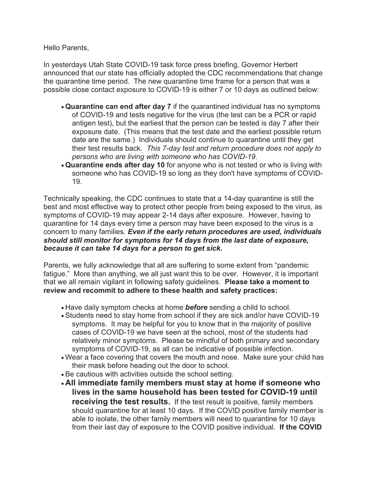Hello Parents,

In yesterdays Utah State COVID-19 task force press briefing, Governor Herbert announced that our state has officially adopted the CDC recommendations that change the quarantine time period. The new quarantine time frame for a person that was a possible close contact exposure to COVID-19 is either 7 or 10 days as outlined below:

- **Quarantine can end after day 7** if the quarantined individual has no symptoms of COVID-19 and tests negative for the virus (the test can be a PCR or rapid antigen test), but the earliest that the person can be tested is day 7 after their exposure date. (This means that the test date and the earliest possible return date are the same.) Individuals should continue to quarantine until they get their test results back. *This 7-day test and return procedure does not apply to persons who are living with someone who has COVID-19*.
- **Quarantine ends after day 10** for anyone who is not tested or who is living with someone who has COVID-19 so long as they don't have symptoms of COVID-19.

Technically speaking, the CDC continues to state that a 14-day quarantine is still the best and most effective way to protect other people from being exposed to the virus, as symptoms of COVID-19 may appear 2-14 days after exposure. However, having to quarantine for 14 days every time a person may have been exposed to the virus is a concern to many families. *Even if the early return procedures are used, individuals should still monitor for symptoms for 14 days from the last date of exposure, because it can take 14 days for a person to get sick.*

Parents, we fully acknowledge that all are suffering to some extent from "pandemic fatigue." More than anything, we all just want this to be over. However, it is important that we all remain vigilant in following safety guidelines. **Please take a moment to review and recommit to adhere to these health and safety practices:**

- Have daily symptom checks at home *before* sending a child to school.
- Students need to stay home from school if they are sick and/or have COVID-19 symptoms. It may be helpful for you to know that in the majority of positive cases of COVID-19 we have seen at the school, most of the students had relatively minor symptoms. Please be mindful of both primary and secondary symptoms of COVID-19, as all can be indicative of possible infection.
- Wear a face covering that covers the mouth and nose. Make sure your child has their mask before heading out the door to school.
- Be cautious with activities outside the school setting.
- **All immediate family members must stay at home if someone who lives in the same household has been tested for COVID-19 until receiving the test results.** If the test result is positive, family members should quarantine for at least 10 days. If the COVID positive family member is able to isolate, the other family members will need to quarantine for 10 days from their last day of exposure to the COVID positive individual. **If the COVID**